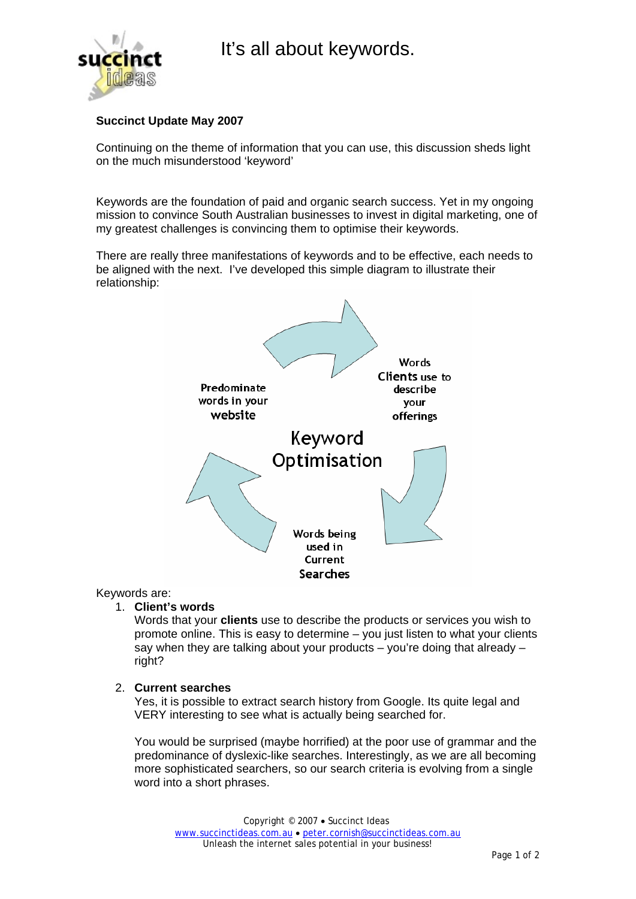



# **Succinct Update May 2007**

Continuing on the theme of information that you can use, this discussion sheds light on the much misunderstood 'keyword'

Keywords are the foundation of paid and organic search success. Yet in my ongoing mission to convince South Australian businesses to invest in digital marketing, one of my greatest challenges is convincing them to optimise their keywords.

There are really three manifestations of keywords and to be effective, each needs to be aligned with the next. I've developed this simple diagram to illustrate their relationship:



### Keywords are:

#### 1. **Client's words**

Words that your **clients** use to describe the products or services you wish to promote online. This is easy to determine – you just listen to what your clients say when they are talking about your products – you're doing that already – right?

#### 2. **Current searches**

Yes, it is possible to extract search history from Google. Its quite legal and VERY interesting to see what is actually being searched for.

You would be surprised (maybe horrified) at the poor use of grammar and the predominance of dyslexic-like searches. Interestingly, as we are all becoming more sophisticated searchers, so our search criteria is evolving from a single word into a short phrases.